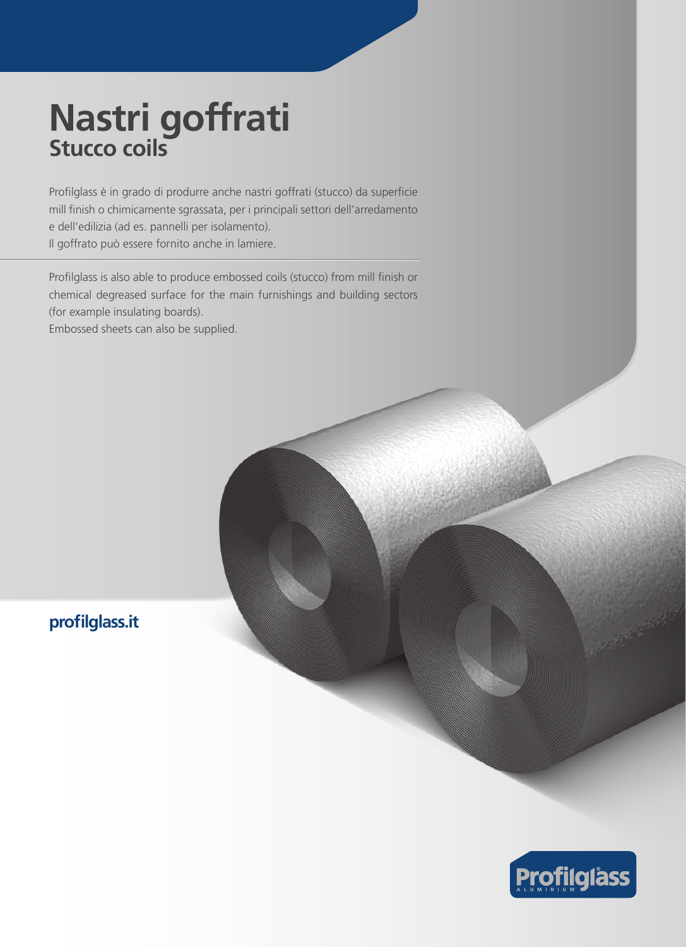## **Nastri goffrati Stucco coils**

Profilglass è in grado di produrre anche nastri goffrati (stucco) da superficie mill finish o chimicamente sgrassata, per i principali settori dell'arredamento e dell'edilizia (ad es. pannelli per isolamento).

Il goffrato può essere fornito anche in lamiere.

Profilglass is also able to produce embossed coils (stucco) from mill finish or chemical degreased surface for the main furnishings and building sectors (for example insulating boards).

Embossed sheets can also be supplied.